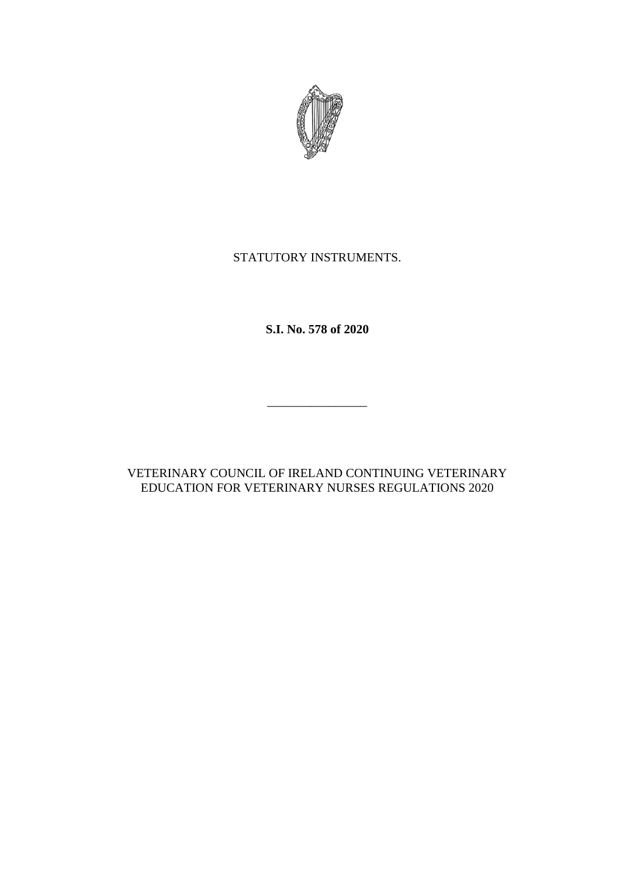

# STATUTORY INSTRUMENTS.

**S.I. No. 578 of 2020**

\_\_\_\_\_\_\_\_\_\_\_\_\_\_\_\_

VETERINARY COUNCIL OF IRELAND CONTINUING VETERINARY EDUCATION FOR VETERINARY NURSES REGULATIONS 2020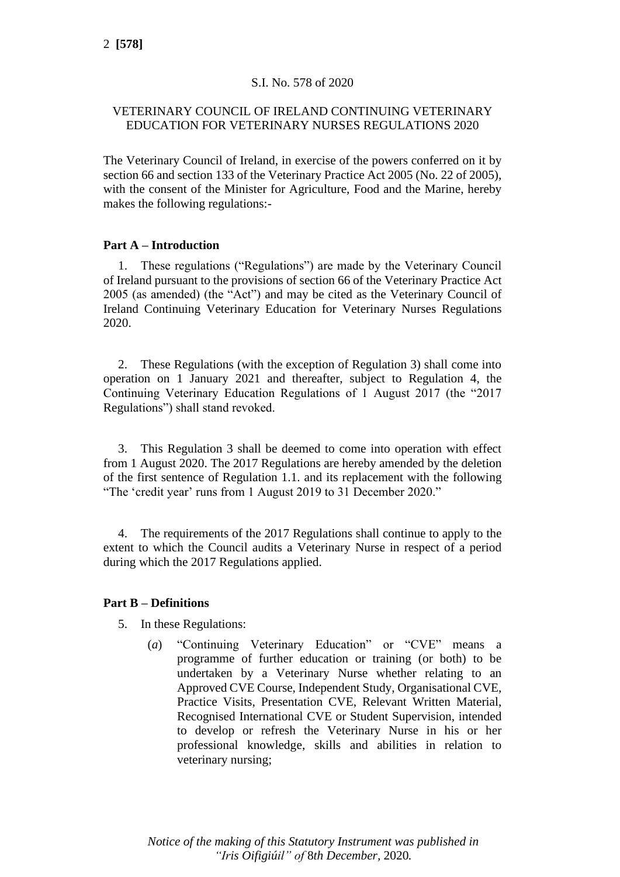# S.I. No. 578 of 2020

# VETERINARY COUNCIL OF IRELAND CONTINUING VETERINARY EDUCATION FOR VETERINARY NURSES REGULATIONS 2020

The Veterinary Council of Ireland, in exercise of the powers conferred on it by section 66 and section 133 of the Veterinary Practice Act 2005 (No. 22 of 2005), with the consent of the Minister for Agriculture, Food and the Marine, hereby makes the following regulations:-

### **Part A – Introduction**

1. These regulations ("Regulations") are made by the Veterinary Council of Ireland pursuant to the provisions of section 66 of the Veterinary Practice Act 2005 (as amended) (the "Act") and may be cited as the Veterinary Council of Ireland Continuing Veterinary Education for Veterinary Nurses Regulations 2020.

2. These Regulations (with the exception of Regulation 3) shall come into operation on 1 January 2021 and thereafter, subject to Regulation 4, the Continuing Veterinary Education Regulations of 1 August 2017 (the "2017 Regulations") shall stand revoked.

3. This Regulation 3 shall be deemed to come into operation with effect from 1 August 2020. The 2017 Regulations are hereby amended by the deletion of the first sentence of Regulation 1.1. and its replacement with the following "The 'credit year' runs from 1 August 2019 to 31 December 2020."

4. The requirements of the 2017 Regulations shall continue to apply to the extent to which the Council audits a Veterinary Nurse in respect of a period during which the 2017 Regulations applied.

### **Part B – Definitions**

5. In these Regulations:

(*a*) "Continuing Veterinary Education" or "CVE" means a programme of further education or training (or both) to be undertaken by a Veterinary Nurse whether relating to an Approved CVE Course, Independent Study, Organisational CVE, Practice Visits, Presentation CVE, Relevant Written Material, Recognised International CVE or Student Supervision, intended to develop or refresh the Veterinary Nurse in his or her professional knowledge, skills and abilities in relation to veterinary nursing;

*Notice of the making of this Statutory Instrument was published in "Iris Oifigiúil" of* 8*th December,* 2020*.*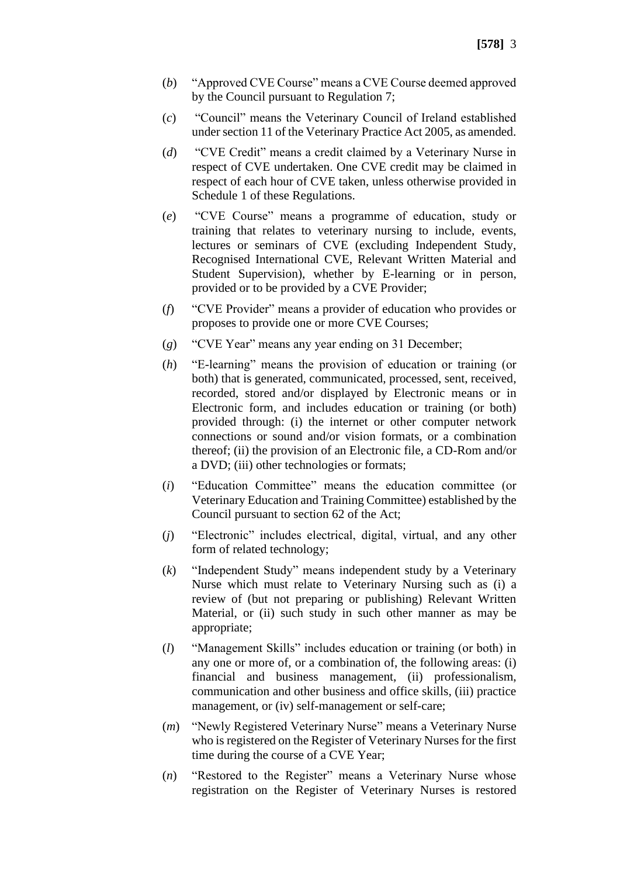- (*b*) "Approved CVE Course" means a CVE Course deemed approved by the Council pursuant to Regulation 7;
- (*c*) "Council" means the Veterinary Council of Ireland established under section 11 of the Veterinary Practice Act 2005, as amended.
- (*d*) "CVE Credit" means a credit claimed by a Veterinary Nurse in respect of CVE undertaken. One CVE credit may be claimed in respect of each hour of CVE taken, unless otherwise provided in Schedule 1 of these Regulations.
- (*e*) "CVE Course" means a programme of education, study or training that relates to veterinary nursing to include, events, lectures or seminars of CVE (excluding Independent Study, Recognised International CVE, Relevant Written Material and Student Supervision), whether by E-learning or in person, provided or to be provided by a CVE Provider;
- (*f*) "CVE Provider" means a provider of education who provides or proposes to provide one or more CVE Courses;
- (*g*) "CVE Year" means any year ending on 31 December;
- (*h*) "E-learning" means the provision of education or training (or both) that is generated, communicated, processed, sent, received, recorded, stored and/or displayed by Electronic means or in Electronic form, and includes education or training (or both) provided through: (i) the internet or other computer network connections or sound and/or vision formats, or a combination thereof; (ii) the provision of an Electronic file, a CD-Rom and/or a DVD; (iii) other technologies or formats;
- (*i*) "Education Committee" means the education committee (or Veterinary Education and Training Committee) established by the Council pursuant to section 62 of the Act;
- (*j*) "Electronic" includes electrical, digital, virtual, and any other form of related technology;
- (*k*) "Independent Study" means independent study by a Veterinary Nurse which must relate to Veterinary Nursing such as (i) a review of (but not preparing or publishing) Relevant Written Material, or (ii) such study in such other manner as may be appropriate;
- (*l*) "Management Skills" includes education or training (or both) in any one or more of, or a combination of, the following areas: (i) financial and business management, (ii) professionalism, communication and other business and office skills, (iii) practice management, or (iv) self-management or self-care;
- (*m*) "Newly Registered Veterinary Nurse" means a Veterinary Nurse who is registered on the Register of Veterinary Nurses for the first time during the course of a CVE Year;
- (*n*) "Restored to the Register" means a Veterinary Nurse whose registration on the Register of Veterinary Nurses is restored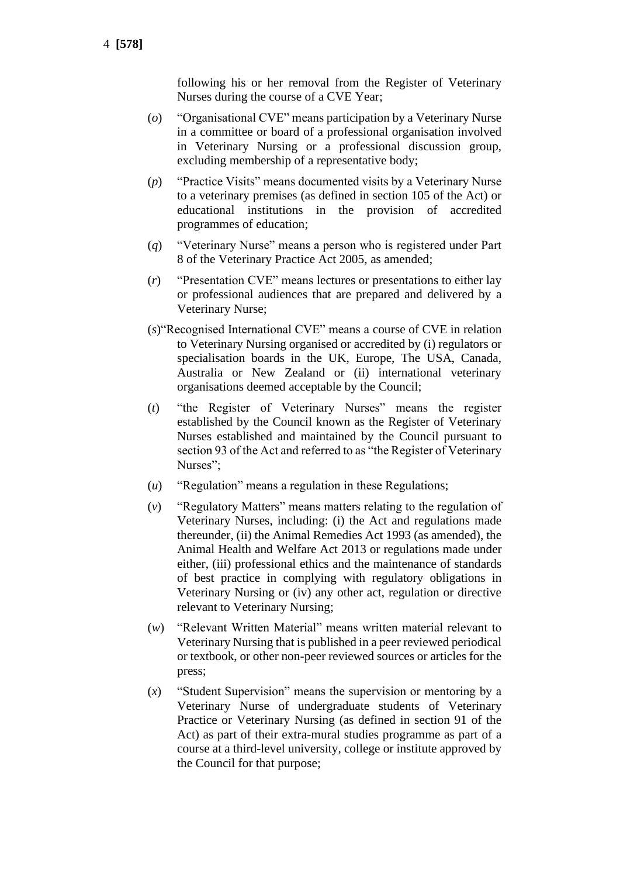following his or her removal from the Register of Veterinary Nurses during the course of a CVE Year;

- (*o*) "Organisational CVE" means participation by a Veterinary Nurse in a committee or board of a professional organisation involved in Veterinary Nursing or a professional discussion group, excluding membership of a representative body;
- (*p*) "Practice Visits" means documented visits by a Veterinary Nurse to a veterinary premises (as defined in section 105 of the Act) or educational institutions in the provision of accredited programmes of education;
- (*q*) "Veterinary Nurse" means a person who is registered under Part 8 of the Veterinary Practice Act 2005, as amended;
- (*r*) "Presentation CVE" means lectures or presentations to either lay or professional audiences that are prepared and delivered by a Veterinary Nurse;
- (*s*)"Recognised International CVE" means a course of CVE in relation to Veterinary Nursing organised or accredited by (i) regulators or specialisation boards in the UK, Europe, The USA, Canada, Australia or New Zealand or (ii) international veterinary organisations deemed acceptable by the Council;
- (*t*) "the Register of Veterinary Nurses" means the register established by the Council known as the Register of Veterinary Nurses established and maintained by the Council pursuant to section 93 of the Act and referred to as "the Register of Veterinary Nurses";
- (*u*) "Regulation" means a regulation in these Regulations;
- (*v*) "Regulatory Matters" means matters relating to the regulation of Veterinary Nurses, including: (i) the Act and regulations made thereunder, (ii) the Animal Remedies Act 1993 (as amended), the Animal Health and Welfare Act 2013 or regulations made under either, (iii) professional ethics and the maintenance of standards of best practice in complying with regulatory obligations in Veterinary Nursing or (iv) any other act, regulation or directive relevant to Veterinary Nursing;
- (*w*) "Relevant Written Material" means written material relevant to Veterinary Nursing that is published in a peer reviewed periodical or textbook, or other non-peer reviewed sources or articles for the press;
- (*x*) "Student Supervision" means the supervision or mentoring by a Veterinary Nurse of undergraduate students of Veterinary Practice or Veterinary Nursing (as defined in section 91 of the Act) as part of their extra-mural studies programme as part of a course at a third-level university, college or institute approved by the Council for that purpose;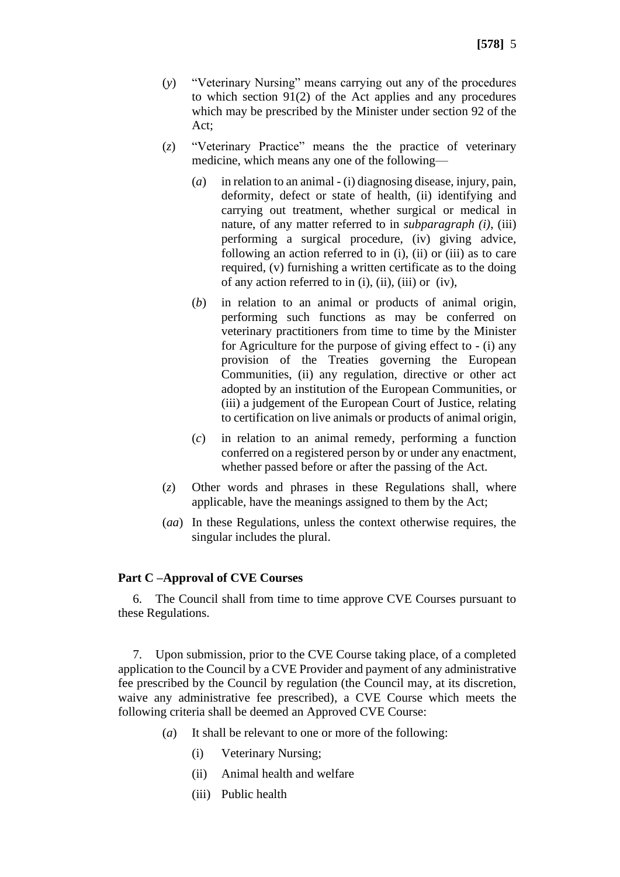- (*y*) "Veterinary Nursing" means carrying out any of the procedures to which section 91(2) of the Act applies and any procedures which may be prescribed by the Minister under section 92 of the Act;
- (*z*) "Veterinary Practice" means the the practice of veterinary medicine, which means any one of the following—
	- (*a*) in relation to an animal (i) diagnosing disease, injury, pain, deformity, defect or state of health, (ii) identifying and carrying out treatment, whether surgical or medical in nature, of any matter referred to in *subparagraph (i)*, (iii) performing a surgical procedure, (iv) giving advice, following an action referred to in (i), (ii) or (iii) as to care required, (v) furnishing a written certificate as to the doing of any action referred to in (i), (ii), (iii) or (iv),
	- (*b*) in relation to an animal or products of animal origin, performing such functions as may be conferred on veterinary practitioners from time to time by the Minister for Agriculture for the purpose of giving effect to - (i) any provision of the Treaties governing the European Communities, (ii) any regulation, directive or other act adopted by an institution of the European Communities, or (iii) a judgement of the European Court of Justice, relating to certification on live animals or products of animal origin,
	- (*c*) in relation to an animal remedy, performing a function conferred on a registered person by or under any enactment, whether passed before or after the passing of the Act.
- (*z*) Other words and phrases in these Regulations shall, where applicable, have the meanings assigned to them by the Act;
- (*aa*) In these Regulations, unless the context otherwise requires, the singular includes the plural.

#### **Part C –Approval of CVE Courses**

6. The Council shall from time to time approve CVE Courses pursuant to these Regulations.

7. Upon submission, prior to the CVE Course taking place, of a completed application to the Council by a CVE Provider and payment of any administrative fee prescribed by the Council by regulation (the Council may, at its discretion, waive any administrative fee prescribed), a CVE Course which meets the following criteria shall be deemed an Approved CVE Course:

- (*a*) It shall be relevant to one or more of the following:
	- (i) Veterinary Nursing;
	- (ii) Animal health and welfare
	- (iii) Public health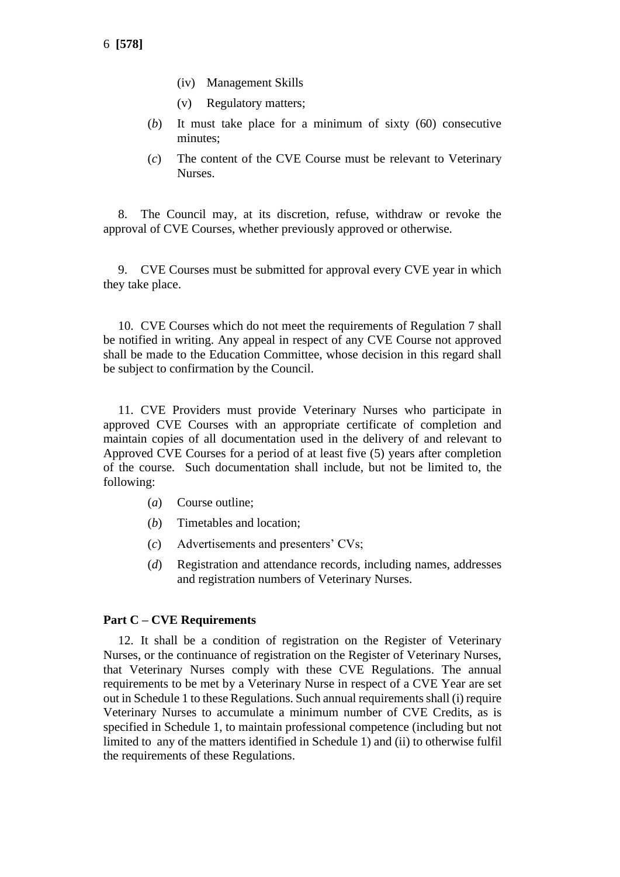- (iv) Management Skills
- (v) Regulatory matters;
- (*b*) It must take place for a minimum of sixty (60) consecutive minutes;
- (*c*) The content of the CVE Course must be relevant to Veterinary Nurses.

8. The Council may, at its discretion, refuse, withdraw or revoke the approval of CVE Courses, whether previously approved or otherwise.

9. CVE Courses must be submitted for approval every CVE year in which they take place.

10. CVE Courses which do not meet the requirements of Regulation 7 shall be notified in writing. Any appeal in respect of any CVE Course not approved shall be made to the Education Committee, whose decision in this regard shall be subject to confirmation by the Council.

11. CVE Providers must provide Veterinary Nurses who participate in approved CVE Courses with an appropriate certificate of completion and maintain copies of all documentation used in the delivery of and relevant to Approved CVE Courses for a period of at least five (5) years after completion of the course. Such documentation shall include, but not be limited to, the following:

- (*a*) Course outline;
- (*b*) Timetables and location;
- (*c*) Advertisements and presenters' CVs;
- (*d*) Registration and attendance records, including names, addresses and registration numbers of Veterinary Nurses.

#### **Part C – CVE Requirements**

12. It shall be a condition of registration on the Register of Veterinary Nurses, or the continuance of registration on the Register of Veterinary Nurses, that Veterinary Nurses comply with these CVE Regulations. The annual requirements to be met by a Veterinary Nurse in respect of a CVE Year are set out in Schedule 1 to these Regulations. Such annual requirements shall (i) require Veterinary Nurses to accumulate a minimum number of CVE Credits, as is specified in Schedule 1, to maintain professional competence (including but not limited to any of the matters identified in Schedule 1) and (ii) to otherwise fulfil the requirements of these Regulations.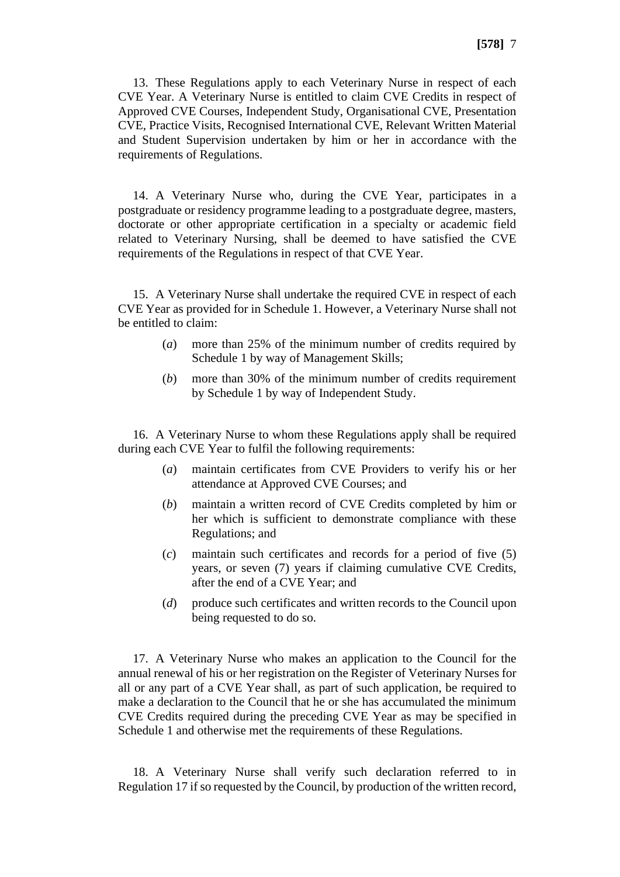13. These Regulations apply to each Veterinary Nurse in respect of each CVE Year. A Veterinary Nurse is entitled to claim CVE Credits in respect of Approved CVE Courses, Independent Study, Organisational CVE, Presentation CVE, Practice Visits, Recognised International CVE, Relevant Written Material and Student Supervision undertaken by him or her in accordance with the requirements of Regulations.

14. A Veterinary Nurse who, during the CVE Year, participates in a postgraduate or residency programme leading to a postgraduate degree, masters, doctorate or other appropriate certification in a specialty or academic field related to Veterinary Nursing, shall be deemed to have satisfied the CVE requirements of the Regulations in respect of that CVE Year.

15. A Veterinary Nurse shall undertake the required CVE in respect of each CVE Year as provided for in Schedule 1. However, a Veterinary Nurse shall not be entitled to claim:

- (*a*) more than 25% of the minimum number of credits required by Schedule 1 by way of Management Skills;
- (*b*) more than 30% of the minimum number of credits requirement by Schedule 1 by way of Independent Study.

16. A Veterinary Nurse to whom these Regulations apply shall be required during each CVE Year to fulfil the following requirements:

- (*a*) maintain certificates from CVE Providers to verify his or her attendance at Approved CVE Courses; and
- (*b*) maintain a written record of CVE Credits completed by him or her which is sufficient to demonstrate compliance with these Regulations; and
- (*c*) maintain such certificates and records for a period of five (5) years, or seven (7) years if claiming cumulative CVE Credits, after the end of a CVE Year; and
- (*d*) produce such certificates and written records to the Council upon being requested to do so.

17. A Veterinary Nurse who makes an application to the Council for the annual renewal of his or her registration on the Register of Veterinary Nurses for all or any part of a CVE Year shall, as part of such application, be required to make a declaration to the Council that he or she has accumulated the minimum CVE Credits required during the preceding CVE Year as may be specified in Schedule 1 and otherwise met the requirements of these Regulations.

18. A Veterinary Nurse shall verify such declaration referred to in Regulation 17 if so requested by the Council, by production of the written record,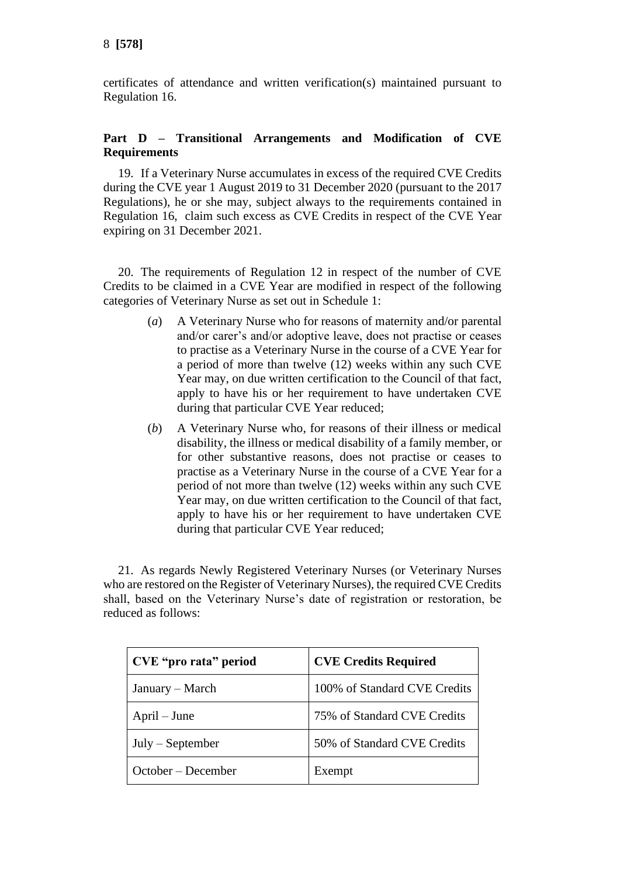certificates of attendance and written verification(s) maintained pursuant to Regulation 16.

# **Part D – Transitional Arrangements and Modification of CVE Requirements**

19. If a Veterinary Nurse accumulates in excess of the required CVE Credits during the CVE year 1 August 2019 to 31 December 2020 (pursuant to the 2017 Regulations), he or she may, subject always to the requirements contained in Regulation 16, claim such excess as CVE Credits in respect of the CVE Year expiring on 31 December 2021.

20. The requirements of Regulation 12 in respect of the number of CVE Credits to be claimed in a CVE Year are modified in respect of the following categories of Veterinary Nurse as set out in Schedule 1:

- (*a*) A Veterinary Nurse who for reasons of maternity and/or parental and/or carer's and/or adoptive leave, does not practise or ceases to practise as a Veterinary Nurse in the course of a CVE Year for a period of more than twelve (12) weeks within any such CVE Year may, on due written certification to the Council of that fact, apply to have his or her requirement to have undertaken CVE during that particular CVE Year reduced;
- (*b*) A Veterinary Nurse who, for reasons of their illness or medical disability, the illness or medical disability of a family member, or for other substantive reasons, does not practise or ceases to practise as a Veterinary Nurse in the course of a CVE Year for a period of not more than twelve (12) weeks within any such CVE Year may, on due written certification to the Council of that fact, apply to have his or her requirement to have undertaken CVE during that particular CVE Year reduced;

21. As regards Newly Registered Veterinary Nurses (or Veterinary Nurses who are restored on the Register of Veterinary Nurses), the required CVE Credits shall, based on the Veterinary Nurse's date of registration or restoration, be reduced as follows:

| CVE "pro rata" period | <b>CVE Credits Required</b>  |
|-----------------------|------------------------------|
| January – March       | 100% of Standard CVE Credits |
| $April - June$        | 75% of Standard CVE Credits  |
| $July - September$    | 50% of Standard CVE Credits  |
| October – December    | Exempt                       |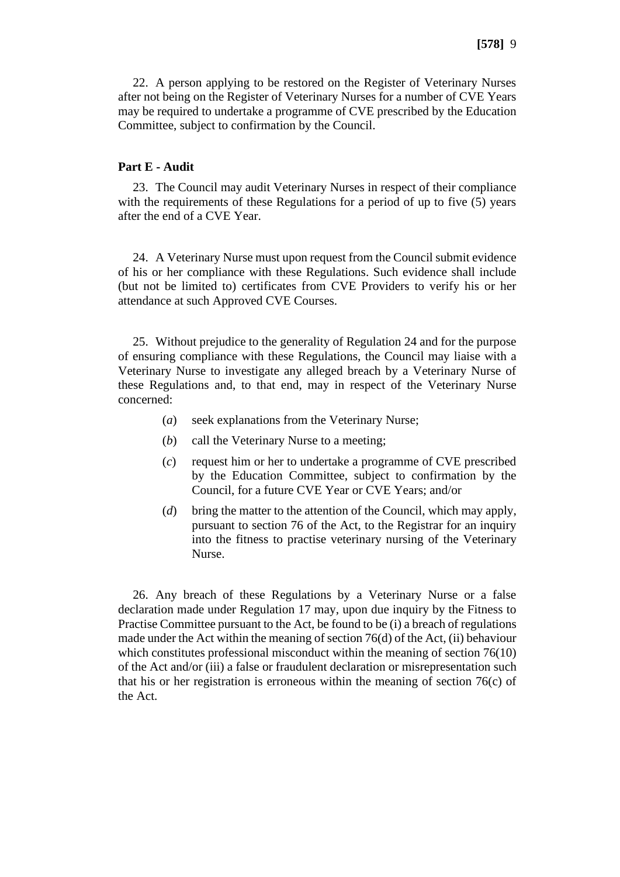22. A person applying to be restored on the Register of Veterinary Nurses after not being on the Register of Veterinary Nurses for a number of CVE Years may be required to undertake a programme of CVE prescribed by the Education Committee, subject to confirmation by the Council.

#### **Part E - Audit**

23. The Council may audit Veterinary Nurses in respect of their compliance with the requirements of these Regulations for a period of up to five (5) years after the end of a CVE Year.

24. A Veterinary Nurse must upon request from the Council submit evidence of his or her compliance with these Regulations. Such evidence shall include (but not be limited to) certificates from CVE Providers to verify his or her attendance at such Approved CVE Courses.

25. Without prejudice to the generality of Regulation 24 and for the purpose of ensuring compliance with these Regulations, the Council may liaise with a Veterinary Nurse to investigate any alleged breach by a Veterinary Nurse of these Regulations and, to that end, may in respect of the Veterinary Nurse concerned:

- (*a*) seek explanations from the Veterinary Nurse;
- (*b*) call the Veterinary Nurse to a meeting;
- (*c*) request him or her to undertake a programme of CVE prescribed by the Education Committee, subject to confirmation by the Council, for a future CVE Year or CVE Years; and/or
- (*d*) bring the matter to the attention of the Council, which may apply, pursuant to section 76 of the Act, to the Registrar for an inquiry into the fitness to practise veterinary nursing of the Veterinary Nurse.

26. Any breach of these Regulations by a Veterinary Nurse or a false declaration made under Regulation 17 may, upon due inquiry by the Fitness to Practise Committee pursuant to the Act, be found to be (i) a breach of regulations made under the Act within the meaning of section  $76(d)$  of the Act, (ii) behaviour which constitutes professional misconduct within the meaning of section 76(10) of the Act and/or (iii) a false or fraudulent declaration or misrepresentation such that his or her registration is erroneous within the meaning of section 76(c) of the Act.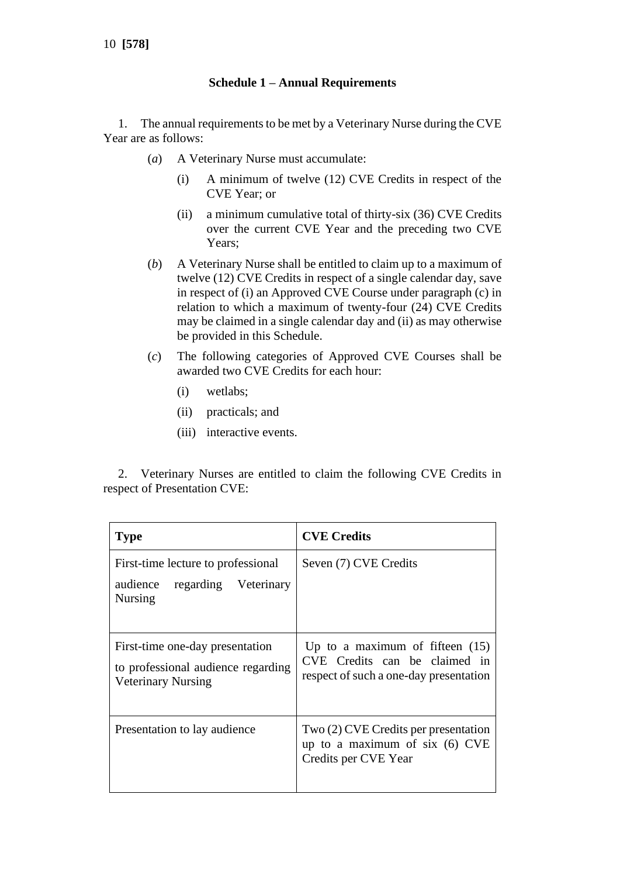### **Schedule 1 – Annual Requirements**

1. The annual requirements to be met by a Veterinary Nurse during the CVE Year are as follows:

- (*a*) A Veterinary Nurse must accumulate:
	- (i) A minimum of twelve (12) CVE Credits in respect of the CVE Year; or
	- (ii) a minimum cumulative total of thirty-six (36) CVE Credits over the current CVE Year and the preceding two CVE Years;
- (*b*) A Veterinary Nurse shall be entitled to claim up to a maximum of twelve (12) CVE Credits in respect of a single calendar day, save in respect of (i) an Approved CVE Course under paragraph (c) in relation to which a maximum of twenty-four (24) CVE Credits may be claimed in a single calendar day and (ii) as may otherwise be provided in this Schedule.
- (*c*) The following categories of Approved CVE Courses shall be awarded two CVE Credits for each hour:
	- (i) wetlabs;
	- (ii) practicals; and
	- (iii) interactive events.

2. Veterinary Nurses are entitled to claim the following CVE Credits in respect of Presentation CVE:

| <b>Type</b>                                                                                        | <b>CVE Credits</b>                                                                                           |
|----------------------------------------------------------------------------------------------------|--------------------------------------------------------------------------------------------------------------|
| First-time lecture to professional<br>audience<br>regarding Veterinary<br><b>Nursing</b>           | Seven (7) CVE Credits                                                                                        |
| First-time one-day presentation<br>to professional audience regarding<br><b>Veterinary Nursing</b> | Up to a maximum of fifteen $(15)$<br>CVE Credits can be claimed in<br>respect of such a one-day presentation |
| Presentation to lay audience                                                                       | $Two(2)$ CVE Credits per presentation<br>up to a maximum of six $(6)$ CVE<br>Credits per CVE Year            |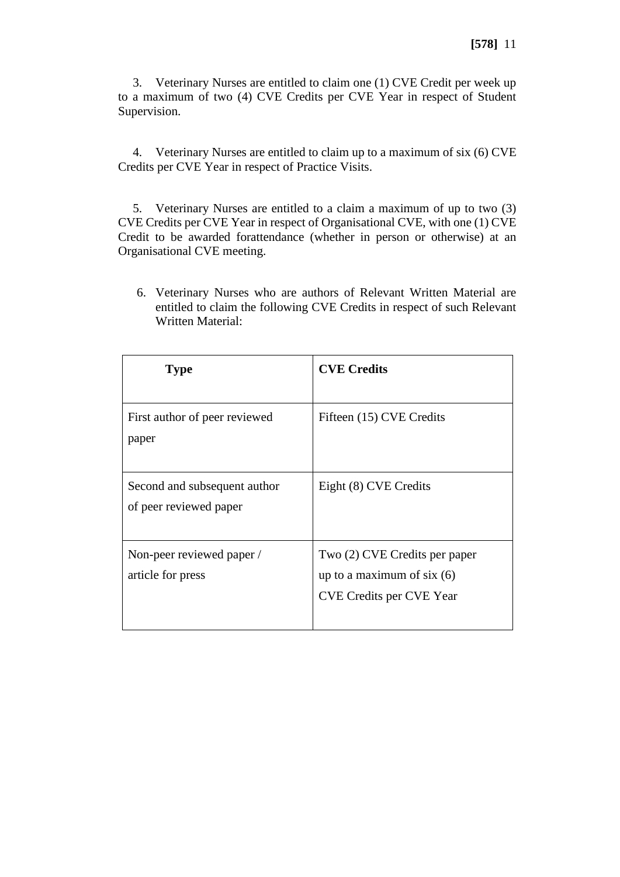3. Veterinary Nurses are entitled to claim one (1) CVE Credit per week up to a maximum of two (4) CVE Credits per CVE Year in respect of Student Supervision.

4. Veterinary Nurses are entitled to claim up to a maximum of six (6) CVE Credits per CVE Year in respect of Practice Visits.

5. Veterinary Nurses are entitled to a claim a maximum of up to two (3) CVE Credits per CVE Year in respect of Organisational CVE, with one (1) CVE Credit to be awarded forattendance (whether in person or otherwise) at an Organisational CVE meeting.

6. Veterinary Nurses who are authors of Relevant Written Material are entitled to claim the following CVE Credits in respect of such Relevant Written Material:

| <b>Type</b>                                            | <b>CVE Credits</b>                                                                               |
|--------------------------------------------------------|--------------------------------------------------------------------------------------------------|
| First author of peer reviewed<br>paper                 | Fifteen (15) CVE Credits                                                                         |
| Second and subsequent author<br>of peer reviewed paper | Eight (8) CVE Credits                                                                            |
| Non-peer reviewed paper /<br>article for press         | Two (2) CVE Credits per paper<br>up to a maximum of six $(6)$<br><b>CVE Credits per CVE Year</b> |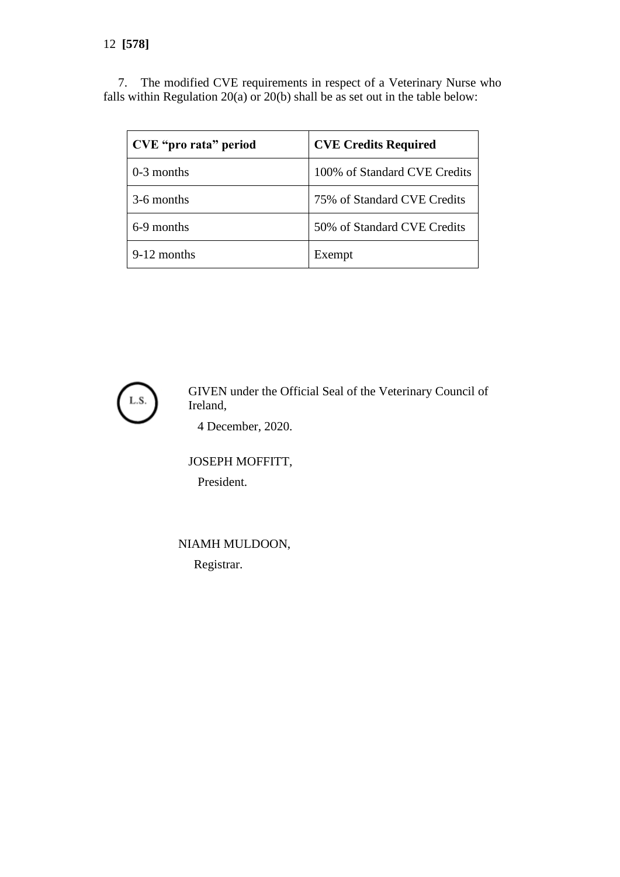7. The modified CVE requirements in respect of a Veterinary Nurse who falls within Regulation 20(a) or 20(b) shall be as set out in the table below:

| CVE "pro rata" period | <b>CVE Credits Required</b>  |
|-----------------------|------------------------------|
| $0-3$ months          | 100% of Standard CVE Credits |
| 3-6 months            | 75% of Standard CVE Credits  |
| 6-9 months            | 50% of Standard CVE Credits  |
| 9-12 months           | Exempt                       |



GIVEN under the Official Seal of the Veterinary Council of Ireland,

4 December, 2020.

JOSEPH MOFFITT, President.

NIAMH MULDOON, Registrar.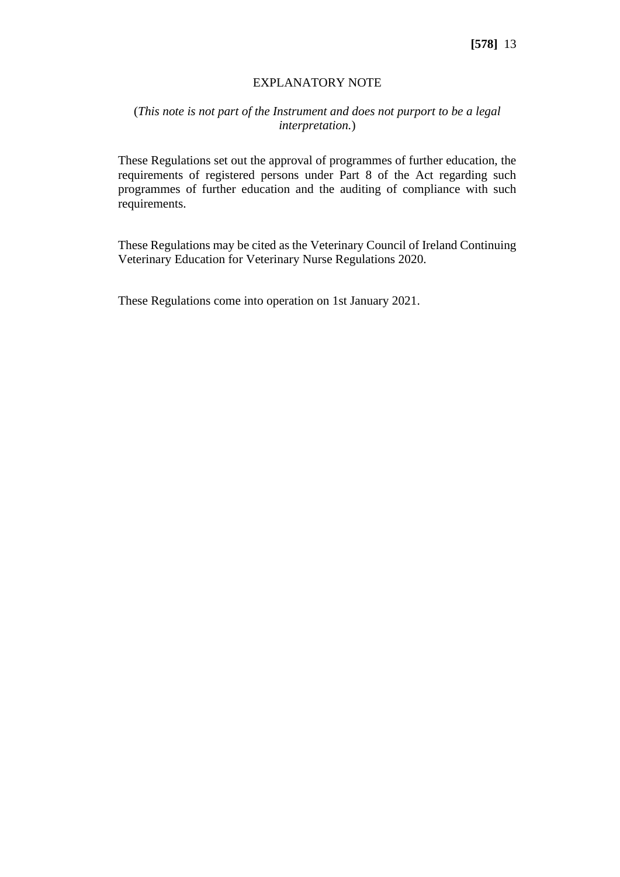### EXPLANATORY NOTE

# (*This note is not part of the Instrument and does not purport to be a legal interpretation.*)

These Regulations set out the approval of programmes of further education, the requirements of registered persons under Part 8 of the Act regarding such programmes of further education and the auditing of compliance with such requirements.

These Regulations may be cited as the Veterinary Council of Ireland Continuing Veterinary Education for Veterinary Nurse Regulations 2020.

These Regulations come into operation on 1st January 2021.